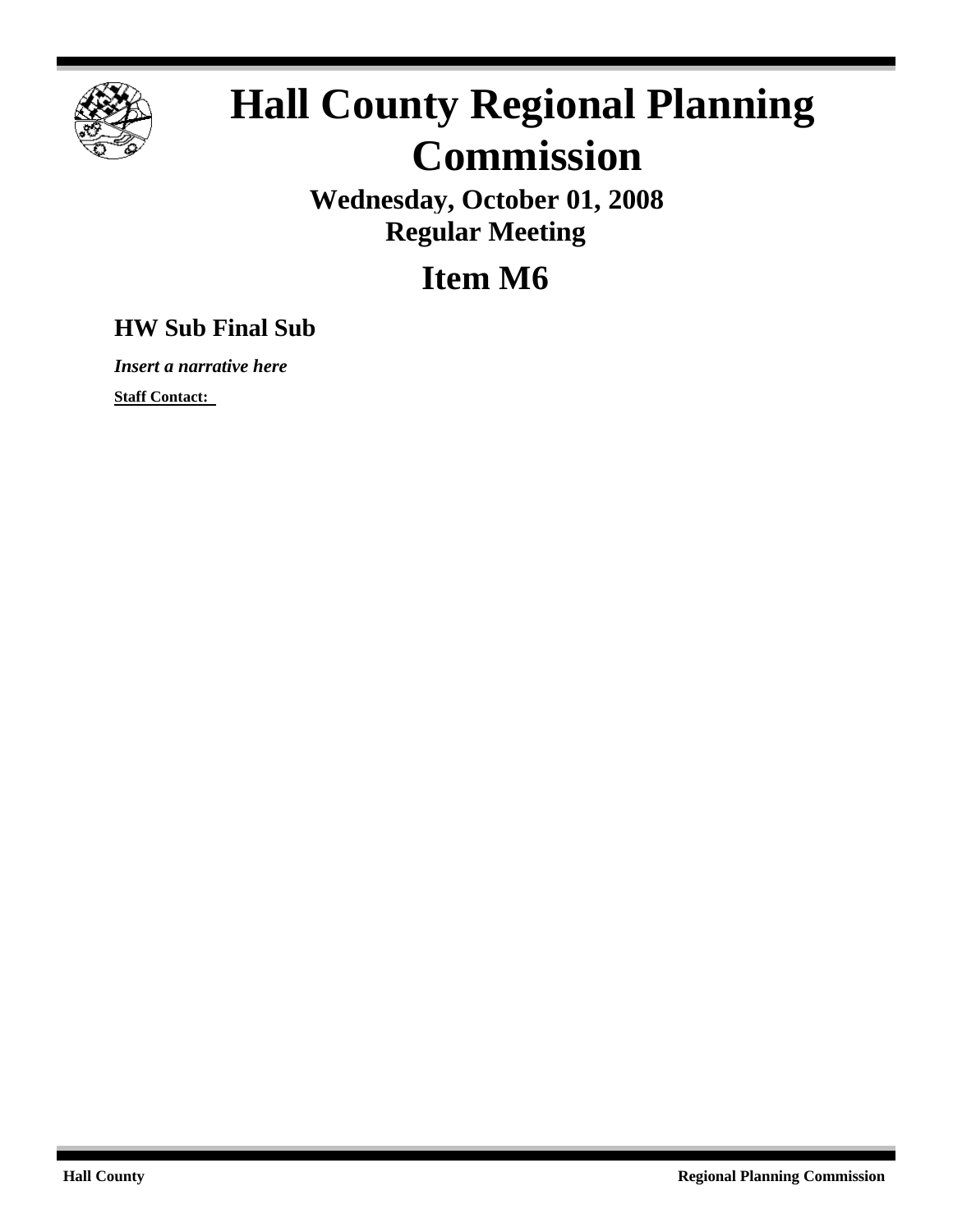

## **Hall County Regional Planning Commission**

**Wednesday, October 01, 2008 Regular Meeting**

**Item M6**

## **HW Sub Final Sub**

*Insert a narrative here*

**Staff Contact:**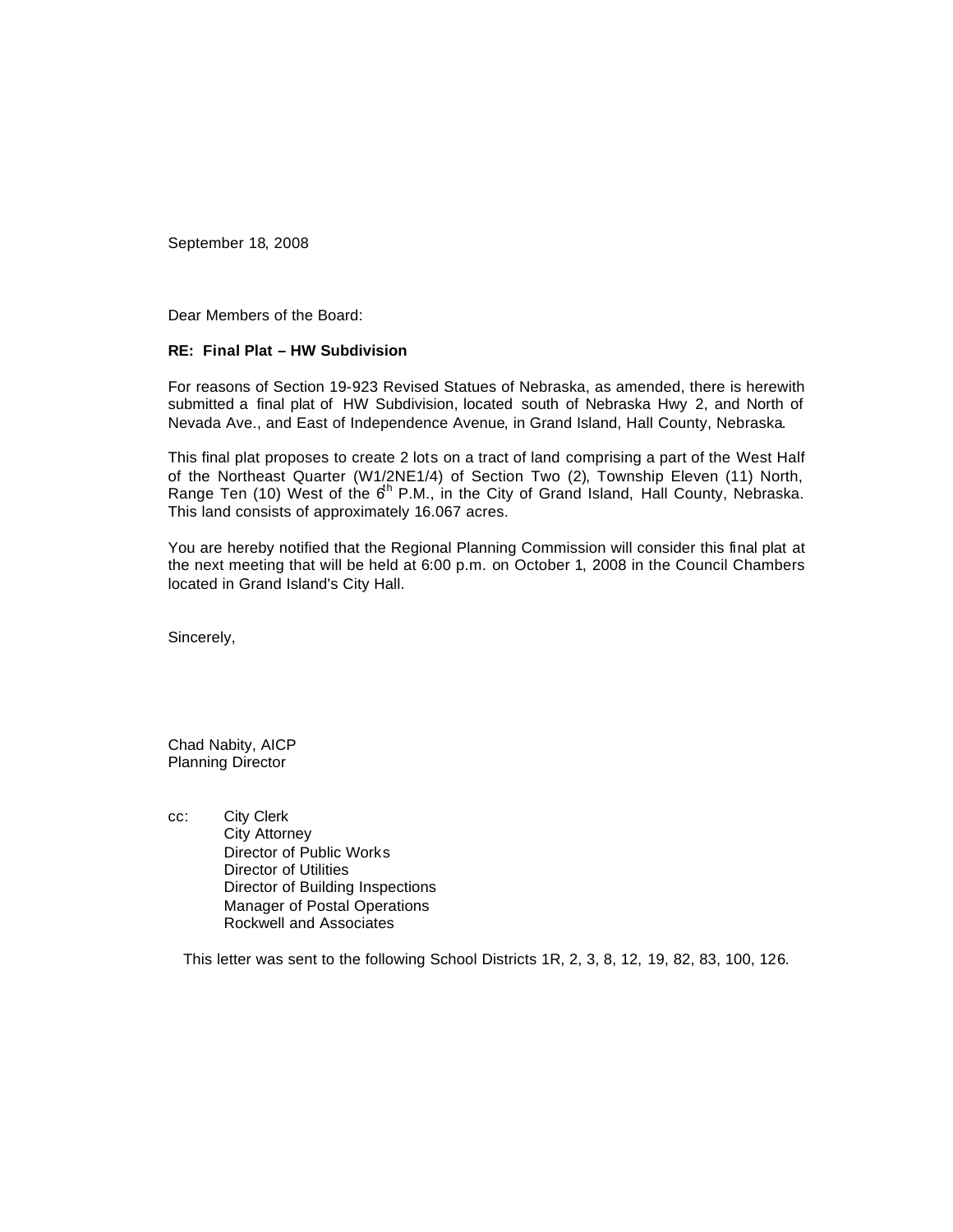September 18, 2008

Dear Members of the Board:

## **RE: Final Plat – HW Subdivision**

For reasons of Section 19-923 Revised Statues of Nebraska, as amended, there is herewith submitted a final plat of HW Subdivision, located south of Nebraska Hwy 2, and North of Nevada Ave., and East of Independence Avenue, in Grand Island, Hall County, Nebraska.

This final plat proposes to create 2 lots on a tract of land comprising a part of the West Half of the Northeast Quarter (W1/2NE1/4) of Section Two (2), Township Eleven (11) North, Range Ten (10) West of the  $6^h$  P.M., in the City of Grand Island, Hall County, Nebraska. This land consists of approximately 16.067 acres.

You are hereby notified that the Regional Planning Commission will consider this final plat at the next meeting that will be held at 6:00 p.m. on October 1, 2008 in the Council Chambers located in Grand Island's City Hall.

Sincerely,

Chad Nabity, AICP Planning Director

cc: City Clerk City Attorney Director of Public Works Director of Utilities Director of Building Inspections Manager of Postal Operations Rockwell and Associates

This letter was sent to the following School Districts 1R, 2, 3, 8, 12, 19, 82, 83, 100, 126.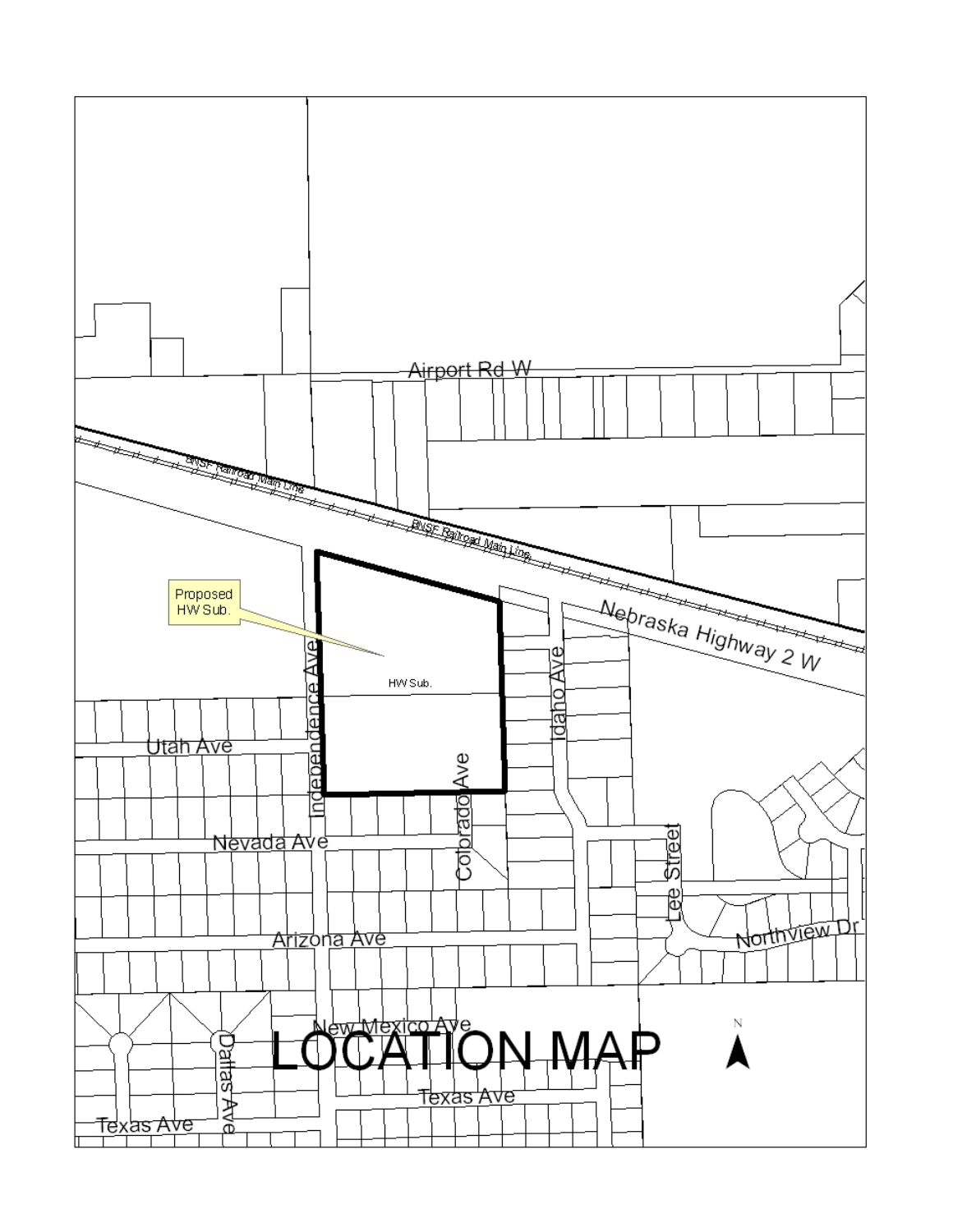